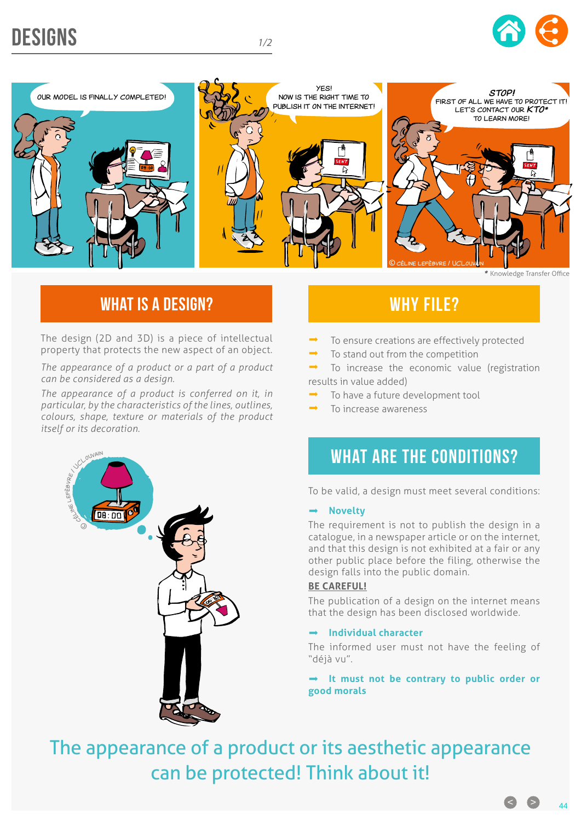# DESIGNS *1/2*







## WHAT IS A DESIGN? WHAT IS A DESIGN?

The design (2D and 3D) is a piece of intellectual property that protects the new aspect of an object.

*The appearance of a product or a part of a product can be considered as a design.*

*The appearance of a product is conferred on it, in particular, by the characteristics of the lines, outlines, colours, shape, texture or materials of the product itself or its decoration.*



- To ensure creations are effectively protected
- To stand out from the competition

 To increase the economic value (registration results in value added)

- To have a future development tool
- To increase awareness

## WHAT ARE THE CONDITIONS?

To be valid, a design must meet several conditions:

#### **Novelty**

The requirement is not to publish the design in a catalogue, in a newspaper article or on the internet, and that this design is not exhibited at a fair or any other public place before the filing, otherwise the design falls into the public domain.

#### **BE CAREFUL!**

The publication of a design on the internet means that the design has been disclosed worldwide.

### **Individual character**

The informed user must not have the feeling of "déjà vu".

 **It must not be contrary to public order or good morals**

The appearance of a product or its aesthetic appearance can be protected! Think about it!

 $\bullet$   $\bullet$